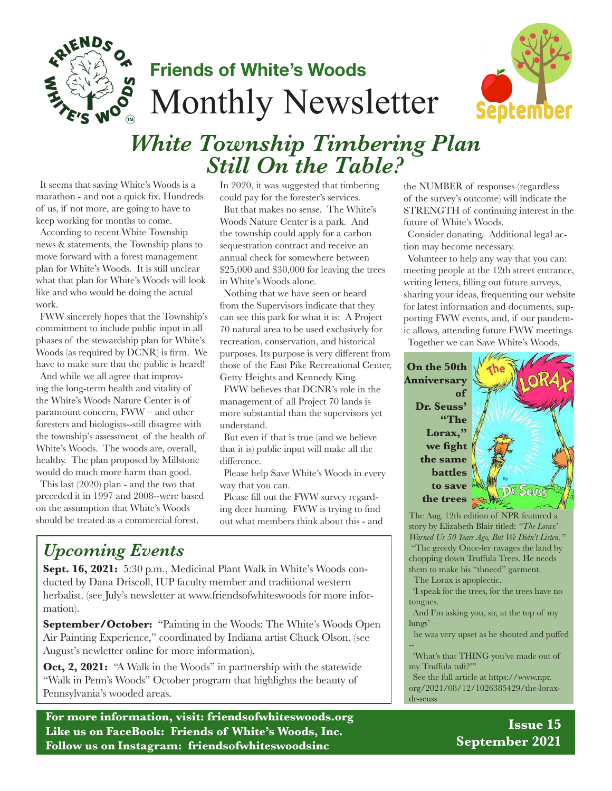

## **Friends of White's Woods** Monthly Newsletter



# *White Township Timbering Plan Still On the Table?*

It seems that saving White's Woods is a marathon - and not a quick fix. Hundreds of us, if not more, are going to have to keep working for months to come.

According to recent White Township news & statements, the Township plans to move forward with a forest management plan for White's Woods. It is still unclear what that plan for White's Woods will look like and who would be doing the actual work.

FWW sincerely hopes that the Township's commitment to include public input in all phases of the stewardship plan for White's Woods (as required by DCNR) is firm. We have to make sure that the public is heard!

And while we all agree that improving the long-term health and vitality of the White's Woods Nature Center is of paramount concern, FWW – and other foresters and biologists--still disagree with the township's assessment of the health of White's Woods. The woods are, overall, healthy. The plan proposed by Millstone would do much more harm than good.

This last (2020) plan - and the two that preceded it in 1997 and 2008--were based on the assumption that White's Woods should be treated as a commercial forest.

In 2020, it was suggested that timbering could pay for the forester's services.

But that makes no sense. The White's Woods Nature Center is a park. And the township could apply for a carbon sequestration contract and receive an annual check for somewhere between \$25,000 and \$30,000 for leaving the trees in White's Woods alone.

Nothing that we have seen or heard from the Supervisors indicate that they can see this park for what it is: A Project 70 natural area to be used exclusively for recreation, conservation, and historical purposes. Its purpose is very different from those of the East Pike Recreational Center, Getty Heights and Kennedy King. FWW believes that DCNR's role in the management of all Project 70 lands is more substantial than the supervisors yet understand.

But even if that is true (and we believe that it is) public input will make all the difference.

Please help Save White's Woods in every way that you can.

Please fill out the FWW survey regarding deer hunting. FWW is trying to find out what members think about this - and

## *Upcoming Events*

**Sept. 16, 2021:** 5:30 p.m., Medicinal Plant Walk in White's Woods conducted by Dana Driscoll, IUP faculty member and traditional western herbalist. (see July's newsletter at www.friendsofwhiteswoods for more information).

**September/October:** "Painting in the Woods: The White's Woods Open Air Painting Experience," coordinated by Indiana artist Chuck Olson. (see August's newletter online for more information).

**Oct, 2, 2021:** "A Walk in the Woods" in partnership with the statewide "Walk in Penn's Woods" October program that highlights the beauty of Pennsylvania's wooded areas.

**For more information, visit: friendsofwhiteswoods.org Like us on FaceBook: Friends of White's Woods, Inc. Follow us on Instagram: friendsofwhiteswoodsinc**

the NUMBER of responses (regardless of the survey's outcome) will indicate the STRENGTH of continuing interest in the future of White's Woods.

Consider donating. Additional legal action may become necessary.

Volunteer to help any way that you can: meeting people at the 12th street entrance, writing letters, filling out future surveys, sharing your ideas, frequenting our website for latest information and documents, supporting FWW events, and, if our pandemic allows, attending future FWW meetings. Together we can Save White's Woods.

**On the 50th Anniversary of Dr. Seuss' "The**  Lorax," **we fight the same battles to save the trees**



The Aug. 12th edition of NPR featured a story by Elizabeth Blair titled: *"The Lorax' Warned Us 50 Years Ago, But We Didn't Listen."*  "The greedy Once-ler ravages the land by chopping down Truffula Trees. He needs them to make his "thneed" garment.

The Lorax is apoplectic.

'I speak for the trees, for the trees have no tongues.

And I'm asking you, sir, at the top of my lungs' —

he was very upset as he shouted and puffed

-- 'What's that THING you've made out of my Truffula tuft?'"

See the full article at https://www.npr. org/2021/08/12/1026385429/the-loraxdr-seuss

> **Issue 15 September 2021**